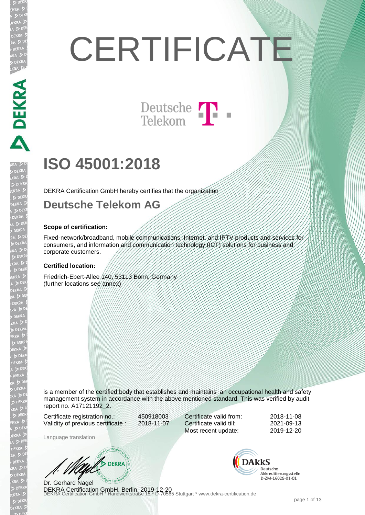# **CERTIFICATE**

Deutsche T

## **ISO 45001:2018**

DEKRA Certification GmbH hereby certifies that the organization

#### **Deutsche Telekom AG**

#### **Scope of certification:**

Fixed-network/broadband, mobile communications, Internet, and IPTV products and services for consumers, and information and communication technology (ICT) solutions for business and corporate customers.

#### **Certified location:**

Friedrich-Ebert-Allee 140, 53113 Bonn, Germany (further locations see annex)

is a member of the certified body that establishes and maintains an occupational health and safety management system in accordance with the above mentioned standard. This was verified by audit report no. A17121192\_2.

Certificate registration no.: 450918003 Validity of previous certificate : 2018-11-07

Certificate valid from: 2018-11-08 Certificate valid till: 2021-09-13 Most recent update: 2019-12-20

Language translation

W/ DEKRA

DEKRA Certification GmbH, Berlin, 2019-12-20<br>DEKRA Certification GmbH \* Handwerkstraße 15 \* D-70565 Stuttgart \* www.dekra-certification.de Dr. Gerhard Nagel

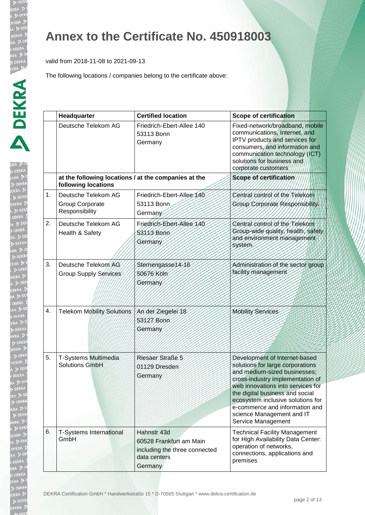EKR  $\triangleright$ 

EKRA  $> 5$ **EKR** 

#### **Annex to the Certificate No. 450918003**

valid from 2018-11-08 to 2021-09-13

|                  | Headquarter                                                                 | <b>Certified location</b>                                                                          | <b>Scope of certification</b>                                                                                                                                                                                                                                                                                                           |
|------------------|-----------------------------------------------------------------------------|----------------------------------------------------------------------------------------------------|-----------------------------------------------------------------------------------------------------------------------------------------------------------------------------------------------------------------------------------------------------------------------------------------------------------------------------------------|
|                  | Deutsche Telekom AG                                                         | Friedrich-Ebert-Allee 140<br>53113 Bonn<br>Germany                                                 | Fixed-network/broadband, mobile<br>communications, Internet, and<br>IPTV products and services for<br>consumers, and information and<br>communication technology (ICT)<br>solutions for business and<br>corporate customers                                                                                                             |
|                  | at the following locations / at the companies at the<br>following locations |                                                                                                    | Scope of certification                                                                                                                                                                                                                                                                                                                  |
| 1.               | Deutsche Telekom AG<br>Group Corporate<br>Responsibility                    | Friedrich-Ebert-Allee 140<br>53113 Bonn<br>Germany                                                 | Central control of the Telekom<br>Group Corporate Responsibility.                                                                                                                                                                                                                                                                       |
| 2.               | Deutsche Telekom AG<br>Health & Safety                                      | Friedrich-Ebert-Allee 140<br>53113 Bonn<br>Germany                                                 | Central control of the Telekom<br>Group-wide quality, health, safety<br>and environment management<br>system.                                                                                                                                                                                                                           |
| 3.               | Deutsche Telekom AG<br>Group Supply Services                                | Sternengasse14-16<br>50676 Köln<br>Germany                                                         | Administration of the sector group<br>facility management                                                                                                                                                                                                                                                                               |
| $\overline{4}$ . | <b>Telekom Mobility Solutions</b>                                           | An der Ziegeler 18<br>53127 Bonn<br>Germany                                                        | <b>Mobility Services</b>                                                                                                                                                                                                                                                                                                                |
| 5.               | T-Systems Multimedia<br><b>Solutions GmbH</b>                               | Riesaer Straße 5<br>01129 Dresden<br>Germany                                                       | Development of Internet-based<br>solutions for large corporations<br>and medium-sized businesses;<br>cross-industry implementation of<br>web innovations into services for<br>the digital business and social<br>ecosystem inclusive solutions for<br>e-commerce and information and<br>science Management and IT<br>Service Management |
| 6.               | <b>T-Systems International</b><br>GmbH                                      | Hahnstr 43d<br>60528 Frankfurt am Main<br>including the three connected<br>data centers<br>Germany | <b>Technical Facility Management</b><br>for High Availability Data Center:<br>operation of networks,<br>connections, applications and<br>premises                                                                                                                                                                                       |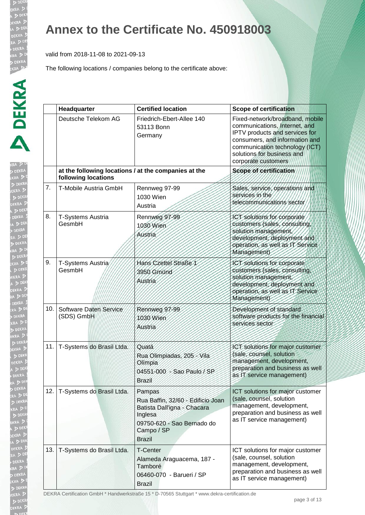**KRA DE** EKRA  $\triangleright$ 

RA ! DEN EKRA  $DDE$ **JEKRA**  $\triangleright$ 

#### **Annex to the Certificate No. 450918003**

valid from 2018-11-08 to 2021-09-13

The following locations / companies belong to the certificate above:

|     | Headquarter                                                                 | <b>Certified location</b>                                                                                                                          | <b>Scope of certification</b>                                                                                                                                                                                               |
|-----|-----------------------------------------------------------------------------|----------------------------------------------------------------------------------------------------------------------------------------------------|-----------------------------------------------------------------------------------------------------------------------------------------------------------------------------------------------------------------------------|
|     | Deutsche Telekom AG                                                         | Friedrich-Ebert-Allee 140<br>53113 Bonn<br>Germany                                                                                                 | Fixed-network/broadband, mobile<br>communications, Internet, and<br>IPTV products and services for<br>consumers, and information and<br>communication technology (ICT)<br>solutions for business and<br>corporate customers |
|     | at the following locations / at the companies at the<br>following locations |                                                                                                                                                    | Scope of certification                                                                                                                                                                                                      |
| 7.  | T-Mobile Austria GmbH                                                       | Rennweg 97-99<br>1030 Wien<br>Austria                                                                                                              | Sales, service, operations and<br>services in the<br>telecommunications sector                                                                                                                                              |
| 8.  | T-Systems Austria<br>GesmbH                                                 | Rennweg 97-99<br>1030 Wien<br>Austria                                                                                                              | ICT solutions for corporate<br>customers (sales, consulting,<br>solution management,<br>development, deployment and<br>operation, as well as IT Service<br>Management)                                                      |
| 9.  | T-Systems Austria<br>GesmbH                                                 | Hans Czettel Straße 1<br>3950 Gmünd<br>Austria                                                                                                     | ICT solutions for corporate<br>customers (sales, consulting,<br>solution management,<br>development, deployment and<br>operation, as well as IT Service<br>Management)                                                      |
| 10. | Software Daten Service<br>(SDS) GmbH                                        | Rennweg 97-99<br>1030 Wien<br>Austria                                                                                                              | Development of standard<br>software products for the financial<br>services sector                                                                                                                                           |
| 11. | T-Systems do Brasil Ltda.                                                   | Quatá<br>Rua Olimpiadas, 205 - Vila<br>Olimpia<br>04551-000 - Sao Paulo / SP<br><b>Brazil</b>                                                      | ICT solutions for major customer<br>(sale, counsel, solution<br>management, development,<br>preparation and business as well<br>as IT service management)                                                                   |
| 12. | T-Systems do Brasil Ltda.                                                   | Pampas<br>Rua Baffin, 32/60 - Edificio Joan<br>Batista Dall'igna - Chacara<br>Inglesa<br>09750-620 - Sao Bernado do<br>Campo / SP<br><b>Brazil</b> | ICT solutions for major customer<br>(sale, counsel, solution<br>management, development,<br>preparation and business as well<br>as IT service management)                                                                   |
| 13. | T-Systems do Brasil Ltda.                                                   | <b>T-Center</b><br>Alameda Araguacema, 187 -<br>Tamboré<br>06460-070 - Barueri / SP<br><b>Brazil</b>                                               | ICT solutions for major customer<br>(sale, counsel, solution<br>management, development,<br>preparation and business as well<br>as IT service management)                                                                   |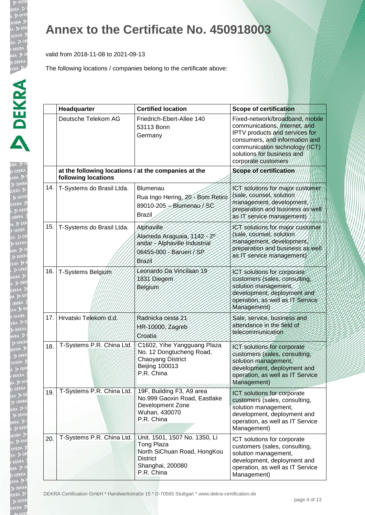**b** DE EKRA  $D<sub>DE</sub>$ EKR/

## **Annex to the Certificate No. 450918003**

valid from 2018-11-08 to 2021-09-13

|     | Headquarter                                                                 | <b>Certified location</b>                                                                                                              | <b>Scope of certification</b>                                                                                                                                                                                               |
|-----|-----------------------------------------------------------------------------|----------------------------------------------------------------------------------------------------------------------------------------|-----------------------------------------------------------------------------------------------------------------------------------------------------------------------------------------------------------------------------|
|     | Deutsche Telekom AG                                                         | Friedrich-Ebert-Allee 140<br>53113 Bonn<br>Germany                                                                                     | Fixed-network/broadband, mobile<br>communications, Internet, and<br>IPTV products and services for<br>consumers, and information and<br>communication technology (ICT)<br>solutions for business and<br>corporate customers |
|     | at the following locations / at the companies at the<br>following locations |                                                                                                                                        | Scope of certification                                                                                                                                                                                                      |
| 14. | T-Systems do Brasil Ltda.                                                   | <b>Blumenau</b><br>Rua Ingo Hering, 20 - Bom Retiro<br>89010-205 - Blumenau / SC<br><b>Brazil</b>                                      | ICT solutions for major customer<br>(sale, counsel, solution<br>management, development,<br>preparation and business as well<br>as IT service management)                                                                   |
| 15. | T-Systems do Brasil Ltda.                                                   | Alphaville<br>Alameda Araguaia, 1142-20<br>andar - Alphaville Industrial<br>06455-000 - Barueri / SP<br>Brazil                         | ICT solutions for major customer<br>(sale, counsel, solution<br>management, development<br>preparation and business as well<br>as IT service management)                                                                    |
| 16. | T-Systems Belgium                                                           | Leonardo Da Vincilaan 19<br>1831 Diegem<br><b>Belgium</b>                                                                              | ICT solutions for corporate<br>customers (sales, consulting,<br>solution management.<br>development, deployment and<br>operation, as well as IT Service<br><b>Management</b>                                                |
| 17. | Hrvatski Telekom d.d.                                                       | Radnická cesta 21<br>HR-10000, Zagreb<br>Croatia                                                                                       | Sale, service, business and<br>attendance in the field of<br>telecommunication                                                                                                                                              |
| 18. | T-Systems P.R. China Ltd.                                                   | C1602, Yihe Yangguang Plaza<br>No. 12 Dongtucheng Road,<br><b>Chaoyang District</b><br><b>Beijing 100013</b><br>P.R. China             | ICT solutions for corporate<br>customers (sales, consulting,<br>solution management,<br>development, deployment and<br>operation, as well as IT Service<br>Management)                                                      |
| 19. | T-Systems P.R. China Ltd.                                                   | 19F, Building F3, A9 area<br>No.999 Gaoxin Road, Eastlake<br>Development Zone<br>Wuhan, 430070<br>P.R. China                           | ICT solutions for corporate<br>customers (sales, consulting,<br>solution management,<br>development, deployment and<br>operation, as well as IT Service<br>Management)                                                      |
| 20. | T-Systems P.R. China Ltd.                                                   | Unit. 1501, 1507 No. 1350, Li<br><b>Tong Plaza</b><br>North SiChuan Road, HongKou<br><b>District</b><br>Shanghai, 200080<br>P.R. China | ICT solutions for corporate<br>customers (sales, consulting,<br>solution management,<br>development, deployment and<br>operation, as well as IT Service<br>Management)                                                      |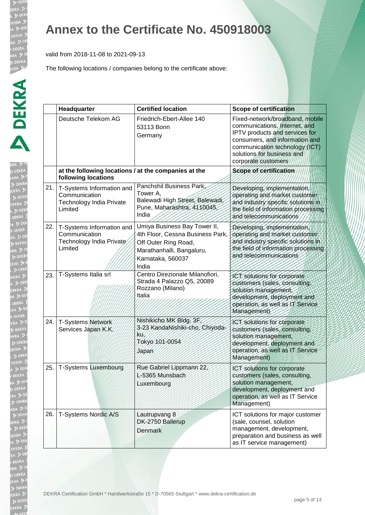b DE EKRA  $D<sub>DE</sub>$ 

#### **Annex to the Certificate No. 450918003**

valid from 2018-11-08 to 2021-09-13

|     | Headquarter                                                                       | <b>Certified location</b>                                                                                                                           | <b>Scope of certification</b>                                                                                                                                                                                               |
|-----|-----------------------------------------------------------------------------------|-----------------------------------------------------------------------------------------------------------------------------------------------------|-----------------------------------------------------------------------------------------------------------------------------------------------------------------------------------------------------------------------------|
|     | Deutsche Telekom AG                                                               | Friedrich-Ebert-Allee 140<br>53113 Bonn<br>Germany                                                                                                  | Fixed-network/broadband, mobile<br>communications, Internet, and<br>IPTV products and services for<br>consumers, and information and<br>communication technology (ICT)<br>solutions for business and<br>corporate customers |
|     | at the following locations / at the companies at the<br>following locations       |                                                                                                                                                     | Scope of certification                                                                                                                                                                                                      |
| 21. | T-Systems Information and<br>Communication<br>Technology India Private<br>Limited | Panchshil Business Park,<br>Tower A,<br>Balewadi High Street, Balewadi,<br>Pune, Maharashtra, 4110045,<br>India                                     | Developing, implementation,<br>operating and market customer<br>and industry specific solutions in<br>the field of information processing<br>and telecommunications                                                         |
| 22. | T-Systems Information and<br>Communication<br>Technology India Private<br>Limited | Umiya Business Bay Tower II,<br>4th Floor, Cessna Business Park,<br>Off Outer Ring Road,<br>Marathanhalli, Bangaluru,<br>Karnataka, 560037<br>India | Developing, implementation<br>operating and market customer<br>and industry specific solutions in<br>the field of information processing<br>and telecommunications                                                          |
| 23. | T-Systems Italia srl                                                              | Centro Direzionale Milanofiori,<br>Strada 4 Palazzo Q5, 20089<br>Rozzano (Milano)<br>Italia                                                         | ICT solutions for corporate<br>customers (sales, consulting<br>solution management,<br>development, deployment and<br>operation, as well as IT Service<br>Management)                                                       |
| 24. | T-Systems Network<br>Services Japan K.K.                                          | Nishikicho MK Bldg. 3F<br>3-23 KandaNishiki-cho, Chiyoda-<br>KU.<br>Tokyo 101-0054<br>Japan                                                         | ICT solutions for corporate<br>customers (sales, consulting,<br>solution management,<br>development, deployment and<br>operation, as well as IT Service<br>Management)                                                      |
| 25. | T-Systems Luxembourg                                                              | Rue Gabriel Lippmann 22,<br>L-5365 Munsbach<br>Luxembourg                                                                                           | ICT solutions for corporate<br>customers (sales, consulting<br>solution management,<br>development, deployment and<br>operation, as well as IT Service<br>Management)                                                       |
| 26. | T-Systems Nordic A/S                                                              | Lautrupvang 8<br>DK-2750 Ballerup<br><b>Denmark</b>                                                                                                 | ICT solutions for major customer<br>(sale, counsel, solution<br>management, development,<br>preparation and business as well<br>as IT service management)                                                                   |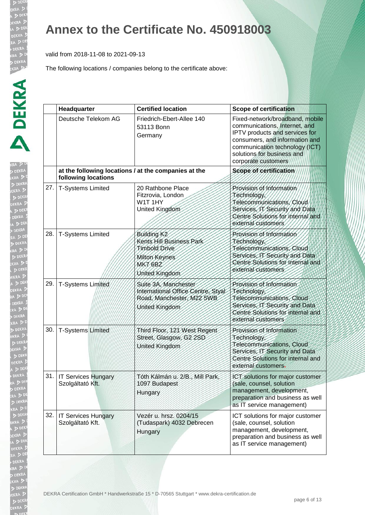b DE EKRA  $D<sub>DE</sub>$ EKR/

 $\sqrt{2}$ 

## **Annex to the Certificate No. 450918003**

valid from 2018-11-08 to 2021-09-13

|     | Headquarter                                                                 | <b>Certified location</b>                                                                                                 | <b>Scope of certification</b>                                                                                                                                                                                               |
|-----|-----------------------------------------------------------------------------|---------------------------------------------------------------------------------------------------------------------------|-----------------------------------------------------------------------------------------------------------------------------------------------------------------------------------------------------------------------------|
|     | Deutsche Telekom AG                                                         | Friedrich-Ebert-Allee 140<br>53113 Bonn<br>Germany                                                                        | Fixed-network/broadband, mobile<br>communications, Internet, and<br>IPTV products and services for<br>consumers, and information and<br>communication technology (ICT)<br>solutions for business and<br>corporate customers |
|     | at the following locations / at the companies at the<br>following locations |                                                                                                                           | Scope of certification                                                                                                                                                                                                      |
|     | 27.   T-Systems Limited                                                     | 20 Rathbone Place<br>Fitzrovia, London<br>W1T1HY<br>United Kingdom                                                        | Provision of Information<br>Technology,<br>Telecommunications, Cloud<br>Services, IT Security and Data<br>Centre Solutions for internal and<br>external customers                                                           |
| 28. | <b>T-Systems Limited</b>                                                    | Building K <sub>2</sub><br>Kents Hill Business Park<br>Timbold Drive<br>Milton Keynes<br><b>MK7 6BZ</b><br>United Kingdom | Provision of Information<br>Technology<br>Telecommunications, Cloud<br>Services, IT Security and Data<br>Centre Solutions for internal and<br>external customers                                                            |
| 29. | T-Systems Limited                                                           | Suite 3A, Manchester<br>International Office Centre, Styal<br>Road, Manchester, M22 5WB<br>United Kingdom                 | Provision of Information<br>Technology<br>Telecommunications, Cloud<br>Services, IT Security and Data<br>Centre Solutions for internal and<br>external customers                                                            |
| 30. | <b>T-Systems Limited</b>                                                    | Third Floor, 121 West Regent<br>Street, Glasgow, G2 2SD<br>United Kingdom                                                 | Provision of Information<br>Technology<br>Telecommunications, Cloud<br>Services, IT Security and Data<br>Centre Solutions for internal and<br>external customers-                                                           |
|     | 31.   IT Services Hungary<br>Szolgáltató Kft.                               | Tóth Kálmán u. 2/B., Mill Park,<br>1097 Budapest<br>Hungary                                                               | ICT solutions for major customer<br>(sale, counsel, solution<br>management, development,<br>preparation and business as well<br>as IT service management)                                                                   |
|     | 32.   IT Services Hungary<br>Szolgáltató Kft.                               | Vezér u. hrsz. 0204/15<br>(Tudaspark) 4032 Debrecen<br>Hungary                                                            | ICT solutions for major customer<br>(sale, counsel, solution<br>management, development,<br>preparation and business as well<br>as IT service management)                                                                   |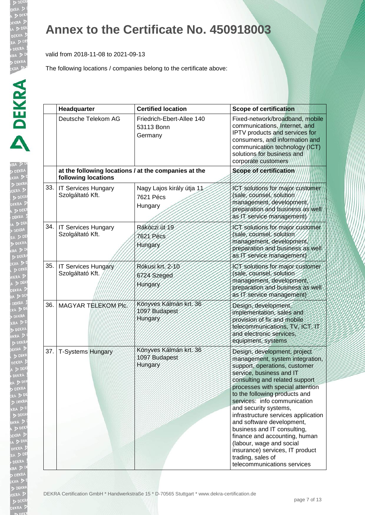$\sqrt{2}$ 

#### **Annex to the Certificate No. 450918003**

valid from 2018-11-08 to 2021-09-13

|     | Headquarter                                    | <b>Certified location</b>                            | <b>Scope of certification</b>                                                                                                                                                                                                                                                                                                                                                                                                                                                                                                                       |
|-----|------------------------------------------------|------------------------------------------------------|-----------------------------------------------------------------------------------------------------------------------------------------------------------------------------------------------------------------------------------------------------------------------------------------------------------------------------------------------------------------------------------------------------------------------------------------------------------------------------------------------------------------------------------------------------|
|     | Deutsche Telekom AG                            | Friedrich-Ebert-Allee 140<br>53113 Bonn<br>Germany   | Fixed-network/broadband, mobile<br>communications, Internet, and<br>IPTV products and services for<br>consumers, and information and<br>communication technology (ICT)<br>solutions for business and<br>corporate customers                                                                                                                                                                                                                                                                                                                         |
|     | following locations                            | at the following locations / at the companies at the | Scope of certification                                                                                                                                                                                                                                                                                                                                                                                                                                                                                                                              |
| 33. | <b>IT Services Hungary</b><br>Szolgáltató Kft. | Nagy Lajos király útja 11<br>7621 Pécs<br>Hungary    | ICT solutions for major customer<br>(sale, counsel, solution<br>management, development,<br>preparation and business as well<br>as IT service management)                                                                                                                                                                                                                                                                                                                                                                                           |
| 34. | <b>IT Services Hungary</b><br>Szolgáltató Kft. | Rákóczi út 19<br>7621 Pécs<br>Hungary                | ICT solutions for major customer<br>(sale, counsel, solution<br>management, development,<br>preparation and business as well<br>as IT service management)                                                                                                                                                                                                                                                                                                                                                                                           |
|     | 35. IT Services Hungary<br>Szolgáltató Kft.    | Rókusi krt. 2-10<br>6724 Szeged<br>Hungary           | ICT solutions for major customer<br>(sale, counsel, solution<br>management, development,<br>preparation and business as well<br>as IT service management)                                                                                                                                                                                                                                                                                                                                                                                           |
| 36. | MAGYAR TELEKOM PIC.                            | Könyves Kálmán krt. 36<br>1097 Budapest<br>Hungary   | Design, development,<br>implementation, sales and<br>provision of fix and mobile<br>telecommunications, TV, ICT, IT<br>and electronic services,<br>equipment, systems                                                                                                                                                                                                                                                                                                                                                                               |
| 37. | <b>T-Systems Hungary</b>                       | Könyves Kálmán krt. 36<br>1097 Budapest<br>Hungary   | Design, development, project<br>management, system integration,<br>support, operations, customer<br>service, business and IT<br>consulting and related support<br>processes with special attention<br>to the following products and<br>services: info communication<br>and security systems,<br>infrastructure services application<br>and software development,<br>business and IT consulting,<br>finance and accounting, human<br>(labour, wage and social<br>insurance) services, IT product<br>trading, sales of<br>telecommunications services |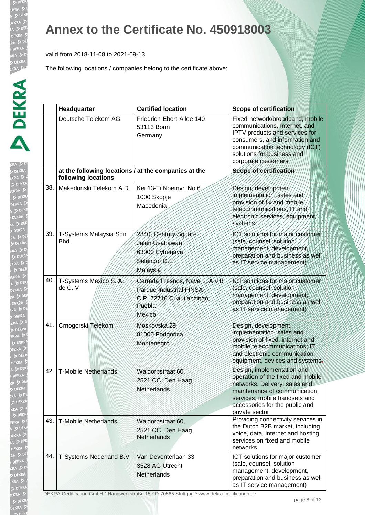RA ! DEN EKRA  $DDE$ **JEKRA**  $\triangleright$ 

## **Annex to the Certificate No. 450918003**

valid from 2018-11-08 to 2021-09-13

The following locations / companies belong to the certificate above:

|     | Headquarter                                                                 | <b>Certified location</b>                                                                                 | <b>Scope of certification</b>                                                                                                                                                                                               |
|-----|-----------------------------------------------------------------------------|-----------------------------------------------------------------------------------------------------------|-----------------------------------------------------------------------------------------------------------------------------------------------------------------------------------------------------------------------------|
|     | Deutsche Telekom AG                                                         | Friedrich-Ebert-Allee 140<br>53113 Bonn<br>Germany                                                        | Fixed-network/broadband, mobile<br>communications, Internet, and<br>IPTV products and services for<br>consumers, and information and<br>communication technology (ICT)<br>solutions for business and<br>corporate customers |
|     | at the following locations / at the companies at the<br>following locations |                                                                                                           | Scope of certification                                                                                                                                                                                                      |
| 38. | Makedonski Telekom A.D.                                                     | Kei 13-Ti Noemvri No.6<br>1000 Skopje<br>Macedonia                                                        | Design, development<br>implementation, sales and<br>provision of fix and mobile<br>telecommunications, IT and<br>electronic services, equipment.<br>systems                                                                 |
| 39. | T-Systems Malaysia Sdn<br><b>Bhd</b>                                        | 2340, Century Square<br>Jalan Usahawan<br>63000 Cyberjaya<br>Selangor D.E<br>Malaysia                     | ICT solutions for major customer<br>(sale, counsel, solution<br>management, development,<br>preparation and business as well<br>as IT service management)                                                                   |
| 40. | T-Systems Mexico S./A.<br>de C. V                                           | Cerrada Fresnos, Nave Y, Ay B<br>Parque Industrial FINSA<br>C.P. 72710 Cuautlancingo,<br>Puebla<br>Mexico | ICT solutions for major customer<br>(sale, counsel, solution<br>management, development,<br>preparation and business as well<br>as IT service management)                                                                   |
| 41. | Crnogorski Telekom                                                          | Moskovska 29<br>81000 Podgorica<br>Montenegro                                                             | Design, development,<br>implementation, sales and<br>provision of fixed, internet and<br>mobile telecommunications; IT<br>and electronic communication.<br>equipment, devices and systems-                                  |
| 42. | <b>T-Mobile Netherlands</b>                                                 | Waldorpstraat 60.<br>2521 CC, Den Haag<br>Netherlands                                                     | Design, implementation and<br>operation of the fixed and mobile<br>networks. Delivery, sales and<br>maintenance of communication<br>services, mobile handsets and<br>accessories for the public and<br>private sector       |
| 43. | <b>T-Mobile Netherlands</b>                                                 | Waldorpstraat 60,<br>2521 CC, Den Haag,<br>Netherlands                                                    | Providing connectivity services in<br>the Dutch B2B market, including<br>voice, data, internet and hosting<br>services on fixed and mobile<br>networks                                                                      |
| 44. | T-Systems Nederland B.V                                                     | Van Deventerlaan 33<br>3528 AG Utrecht<br>Netherlands                                                     | ICT solutions for major customer<br>(sale, counsel, solution<br>management, development,<br>preparation and business as well<br>as IT service management)                                                                   |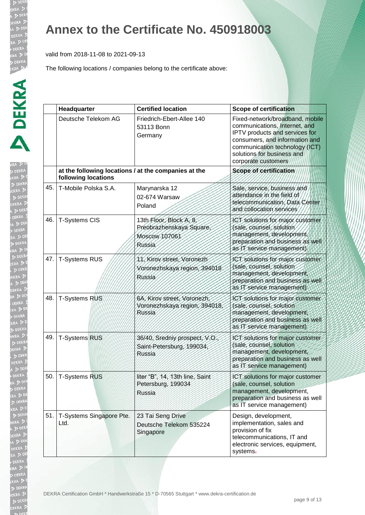#### **Annex to the Certificate No. 450918003**

valid from 2018-11-08 to 2021-09-13

|     | Headquarter                                                                 | <b>Certified location</b>                                                      | <b>Scope of certification</b>                                                                                                                                                                                               |
|-----|-----------------------------------------------------------------------------|--------------------------------------------------------------------------------|-----------------------------------------------------------------------------------------------------------------------------------------------------------------------------------------------------------------------------|
|     | Deutsche Telekom AG                                                         | Friedrich-Ebert-Allee 140<br>53113 Bonn<br>Germany                             | Fixed-network/broadband, mobile<br>communications, Internet, and<br>IPTV products and services for<br>consumers, and information and<br>communication technology (ICT)<br>solutions for business and<br>corporate customers |
|     | at the following locations / at the companies at the<br>following locations |                                                                                | Scope of certification                                                                                                                                                                                                      |
| 45. | T-Mobile Polska S.A.                                                        | Marynarska 12<br>02-674 Warsaw<br>Poland                                       | Sale, service, business and<br>attendance in the field of<br>telecommunication, Data/Center<br>and collocation services                                                                                                     |
| 46. | T-Systems CIS                                                               | 13th Floor, Block A, 8,<br>Preobrazhenskaya Square,<br>Moscow 107061<br>Russia | ICT solutions for major customer<br>(sale, counsel, solution<br>management, development<br>preparation and business as well<br>as IT service management                                                                     |
| 47. | <b>T-Systems RUS</b>                                                        | 11, Kirov street, Voronezh<br>Voronezhskaya region, 394018<br>Russia           | JCT solutions for major customer<br>(sale, counsel, solution<br>management, development,<br>preparation and business as well<br>as IT service management)                                                                   |
| 48. | T-Systems RUS                                                               | 6A, Kirov street, Voronezh<br>Voronezhskaya region, 394018,<br>Rússia          | ICT solutions for major customer<br>(sale, counsel, solution<br>management, development,<br>preparation and business as well<br>as IT service management)                                                                   |
| 49. | <b>T-Systems RUS</b>                                                        | 36/40, Sredniy prospect, V.O.<br>Saint-Petersburg, 199034,<br>Russia           | ICT solutions for major customer<br>(sale, counsel, solution<br>management, development,<br>preparation and business as well<br>as IT service management)                                                                   |
|     | 50.   T-Systems RUS                                                         | liter "B", 14, 13th line, Saint<br>Petersburg, 199034<br>Russia                | ICT solutions for major customer<br>(sale, counsel, solution<br>management, development,<br>preparation and business as well<br>as IT service management)                                                                   |
| 51. | T-Systems Singapore Pte.<br>Ltd.                                            | 23 Tai Seng Drive<br>Deutsche Telekom 535224<br>Singapore                      | Design, development,<br>implementation, sales and<br>provision of fix<br>telecommunications, IT and<br>electronic services, equipment,<br>systems-                                                                          |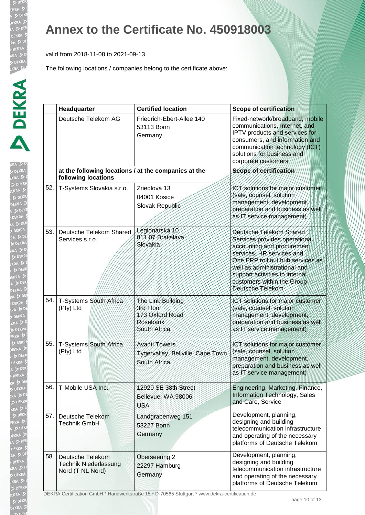RA ! DEN EKRA  $DDE$ **JEKRA**  $\triangleright$ 

#### **Annex to the Certificate No. 450918003**

valid from 2018-11-08 to 2021-09-13

The following locations / companies belong to the certificate above:

|     | Headquarter                                                                 | <b>Certified location</b>                                                     | <b>Scope of certification</b>                                                                                                                                                                                                                                               |
|-----|-----------------------------------------------------------------------------|-------------------------------------------------------------------------------|-----------------------------------------------------------------------------------------------------------------------------------------------------------------------------------------------------------------------------------------------------------------------------|
|     | Deutsche Telekom AG                                                         | Friedrich-Ebert-Allee 140<br>53113 Bonn<br>Germany                            | Fixed-network/broadband, mobile<br>communications, Internet, and<br>IPTV products and services for<br>consumers, and information and<br>communication technology (ICT)<br>solutions for business and<br>corporate customers                                                 |
|     | at the following locations / at the companies at the<br>following locations |                                                                               | Scope of certification                                                                                                                                                                                                                                                      |
| 52. | T-Systems Slovakia s.r.o.                                                   | Zriedlova 13<br>04001 Kosice<br>Slovak Republic                               | ICT solutions for major customer<br>(sale, counsel, solution)<br>management, development,<br>preparation and business as well<br>as IT service management)                                                                                                                  |
| 53. | Deutsche Telekom Shared<br>Services s.r.o.                                  | Legionárska 10<br>811 07 Bratislava<br>Slovakia                               | Deutsche Telekom Shared<br>Services provides operational<br>accounting and procurement<br>services, HR services and<br>One ERP roll out hub services as<br>well as administrational and<br>support activities to internal<br>customers within the Group<br>Deutsche Telekom |
| 54. | T-Systems South Africa<br>(Pty) Ltd                                         | The Link Building<br>3rd Floor<br>173 Oxford Road<br>Rosebank<br>South Africa | ICT solutions for major customer<br>(sale, counsel, solution<br>management, development,<br>preparation and business as well<br>as IT service management)                                                                                                                   |
| 55. | T-Systems South Africa<br>(Pty) Ltd                                         | <b>Avanti Towers</b><br>Tygervalley, Bellville, Cape Town<br>South Africa     | ICT solutions for major customer<br>(sale, counsel, solution<br>management, development,<br>preparation and business as well<br>as IT service management)                                                                                                                   |
| 56. | T-Mobile USA Inc.                                                           | 12920 SE 38th Street<br>Bellevue, WA 98006<br><b>USA</b>                      | Engineering, Marketing, Finance,<br>Information Technology, Sales<br>and Care, Service                                                                                                                                                                                      |
| 57. | Deutsche Telekom<br><b>Technik GmbH</b>                                     | Landgrabenweg 151<br>53227 Bonn<br>Germany                                    | Development, planning,<br>designing and building<br>telecommunication infrastructure<br>and operating of the necessary<br>platforms of Deutsche Telekom                                                                                                                     |
| 58. | Deutsche Telekom<br><b>Technik Niederlassung</b><br>Nord (T NL Nord)        | Überseering 2<br>22297 Hamburg<br>Germany                                     | Development, planning,<br>designing and building<br>telecommunication infrastructure<br>and operating of the necessary<br>platforms of Deutsche Telekom                                                                                                                     |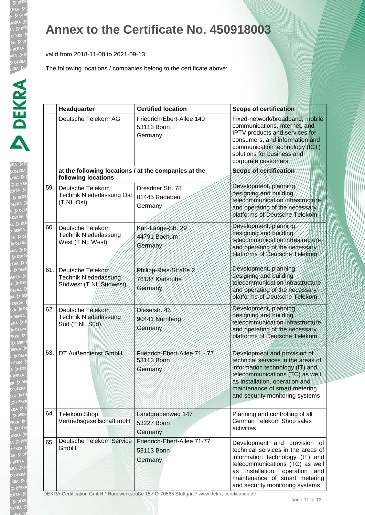$D<sub>D</sub>$ 

RA ! DEN EKRA  $DDE$ **JEKRA**  $\triangleright$ 

## **Annex to the Certificate No. 450918003**

valid from 2018-11-08 to 2021-09-13

The following locations / companies belong to the certificate above:

|     | Headquarter                                                                 | <b>Certified location</b>                            | <b>Scope of certification</b>                                                                                                                                                                                                                           |
|-----|-----------------------------------------------------------------------------|------------------------------------------------------|---------------------------------------------------------------------------------------------------------------------------------------------------------------------------------------------------------------------------------------------------------|
|     | Deutsche Telekom AG                                                         | Friedrich-Ebert-Allee 140<br>53113 Bonn<br>Germany   | Fixed-network/broadband, mobile<br>communications, Internet, and<br>IPTV products and services for<br>consumers, and information and<br>communication technology (ICT)<br>solutions for business and<br>corporate customers                             |
|     | at the following locations / at the companies at the<br>following locations |                                                      | Scope of certification                                                                                                                                                                                                                                  |
| 59. | Deutsche Telekom<br>Technik Niederlassung Ost<br>(T NL Ost)                 | Dresdner Str. 78<br>01445 Radebeul<br>Germany        | Development, planning,<br>designing and building<br>telecommunication infrastructure<br>and operating of the necessary<br>platforms of Deutsche Telekom                                                                                                 |
| 60. | Deutsche Telekom<br><b>Technik Niederlassung</b><br>West (T NL West)        | Karl-Lange-Str. 29<br>44791 Bochum<br>Germany        | Development, planning<br>designing and building<br>telecommunication infrastructure<br>and operating of the necessary<br>platforms of Deutsche Telekom                                                                                                  |
| 61. | Deutsche Telekom<br>Technik Niederlassung<br>Südwest (T NL/Südwest)         | Philipp-Reis-Straße 2<br>76137 Karlsruhe<br>Germany  | Development, planning,<br>designing and building<br>telecommunication infrastructure<br>and operating of the necessary<br>platforms of Deutsche Telekom                                                                                                 |
| 62. | Deutsche Telekom<br>Technik Niederlassung<br>Süd (T NL Süd)                 | Dieselstr. 43<br>90441 Nürnberg<br>Germany           | Development, planning,<br>designing and building<br>telecommunication infrastructure<br>and operating of the necessary<br>platforms of Deutsche Telekom                                                                                                 |
| 63. | DT Außendienst GmbH                                                         | Friedrich-Ebert-Allee 71-77<br>53113 Bonn<br>Germany | Development and provision of<br>technical services in the areas of<br>information technology (IT) and<br>telecommunications (TC) as well<br>as installation, operation and<br>maintenance of smart metering<br>and security monitoring systems          |
| 64. | <b>Telekom Shop</b><br>Vertriebsgesellschaft mbH                            | Landgrabenweg-147<br>53227 Bonn<br>Germany           | Planning and controlling of all<br>German Telekom Shop sales<br>activities                                                                                                                                                                              |
| 65. | <b>Deutsche Telekom Service</b><br>GmbH                                     | Friedrich-Ebert-Allee 71-77<br>53113 Bonn<br>Germany | Development and provision of<br>technical services in the areas of<br>information technology (IT) and<br>telecommunications (TC) as well<br>installation,<br>operation<br>and<br>as<br>maintenance of smart metering<br>and security monitoring systems |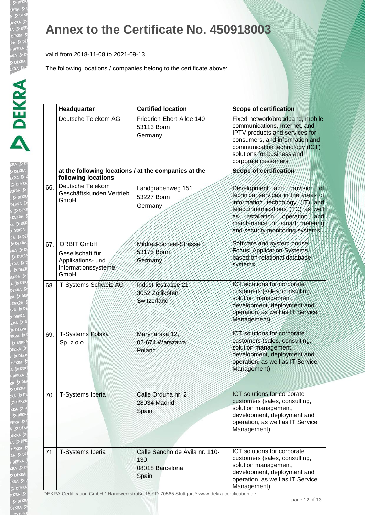**DEI** 

 $D$ **JEKRA**  $\triangleright$ 

#### **Annex to the Certificate No. 450918003**

valid from 2018-11-08 to 2021-09-13

|     | Headquarter                                                                               | <b>Certified location</b>                                          | <b>Scope of certification</b>                                                                                                                                                                                                                      |
|-----|-------------------------------------------------------------------------------------------|--------------------------------------------------------------------|----------------------------------------------------------------------------------------------------------------------------------------------------------------------------------------------------------------------------------------------------|
|     | Deutsche Telekom AG                                                                       | Friedrich-Ebert-Allee 140<br>53113 Bonn<br>Germany                 | Fixed-network/broadband, mobile<br>communications, Internet, and<br>IPTV products and services for<br>consumers, and information and<br>communication technology (ICT)<br>solutions for business and<br>corporate customers                        |
|     | at the following locations / at the companies at the<br>following locations               |                                                                    | Scope of certification                                                                                                                                                                                                                             |
| 66. | Deutsche Telekom<br>Geschäftskunden Vertrieb<br>GmbH                                      | Landgrabenweg 151<br>53227 Bonn<br>Germany                         | Development and provision<br>∥of<br>technical services in the areas of<br>information technology (IT) and<br>telecommunications (TC) as well<br>as installation, operation and<br>maintenance of smart metering<br>and security monitoring systems |
| 67. | <b>ORBIT GmbH</b><br>Gesellschaft für<br>Applikations- und<br>Informationssysteme<br>GmbH | Mildred-Scheel-Strasse<br>53175 Bonn<br>Germany                    | Software and system house;<br>Focus: Application Systems<br>based on relational database<br>systems                                                                                                                                                |
| 68. | T-Systems Schweiz AG                                                                      | Industriestrasse 21<br>3052/Zollikofen<br>Switzerland              | ICT solutions for corporate<br>customers (sales, consulting,<br>solution management,<br>development, deployment and<br>operation, as well as IT Service<br>Management)                                                                             |
| 69. | T-Systems Polska<br>Sp. z o.o.                                                            | Marynarska 12<br>02-674 Warszawa<br>Poland                         | 1CT solutions for corporate<br>customers (sales, consulting,<br>solution management,<br>development, deployment and<br>operation, as well as IT Service<br>Management)                                                                             |
| 70. | T-Systems Iberia                                                                          | Calle Orduna nr. 2<br>28034 Madrid<br>Spain                        | ICT solutions for corporate<br>customers (sales, consulting,<br>solution management,<br>development, deployment and<br>operation, as well as IT Service<br>Management)                                                                             |
| 71. | T-Systems Iberia                                                                          | Calle Sancho de Ávila nr. 110-<br>130,<br>08018 Barcelona<br>Spain | ICT solutions for corporate<br>customers (sales, consulting,<br>solution management,<br>development, deployment and<br>operation, as well as IT Service<br>Management)                                                                             |